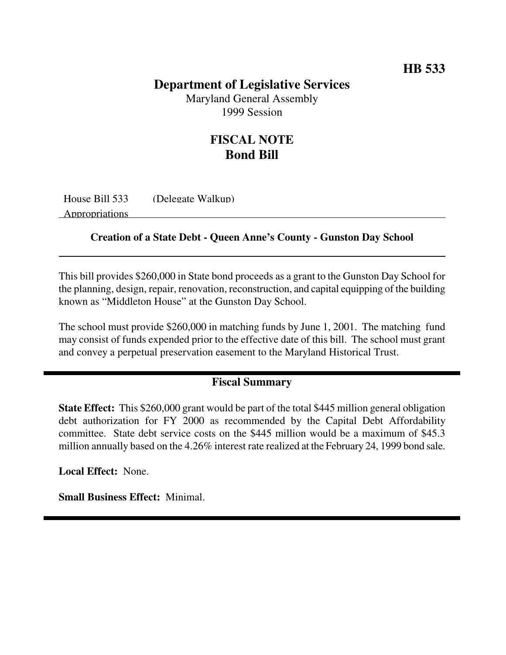### **Department of Legislative Services**

Maryland General Assembly 1999 Session

## **FISCAL NOTE Bond Bill**

House Bill 533 (Delegate Walkup)

Appropriations

#### **Creation of a State Debt - Queen Anne's County - Gunston Day School**

This bill provides \$260,000 in State bond proceeds as a grant to the Gunston Day School for the planning, design, repair, renovation, reconstruction, and capital equipping of the building known as "Middleton House" at the Gunston Day School.

The school must provide \$260,000 in matching funds by June 1, 2001. The matching fund may consist of funds expended prior to the effective date of this bill. The school must grant and convey a perpetual preservation easement to the Maryland Historical Trust.

#### **Fiscal Summary**

**State Effect:** This \$260,000 grant would be part of the total \$445 million general obligation debt authorization for FY 2000 as recommended by the Capital Debt Affordability committee. State debt service costs on the \$445 million would be a maximum of \$45.3 million annually based on the 4.26% interest rate realized at the February 24, 1999 bond sale.

**Local Effect:** None.

**Small Business Effect:** Minimal.